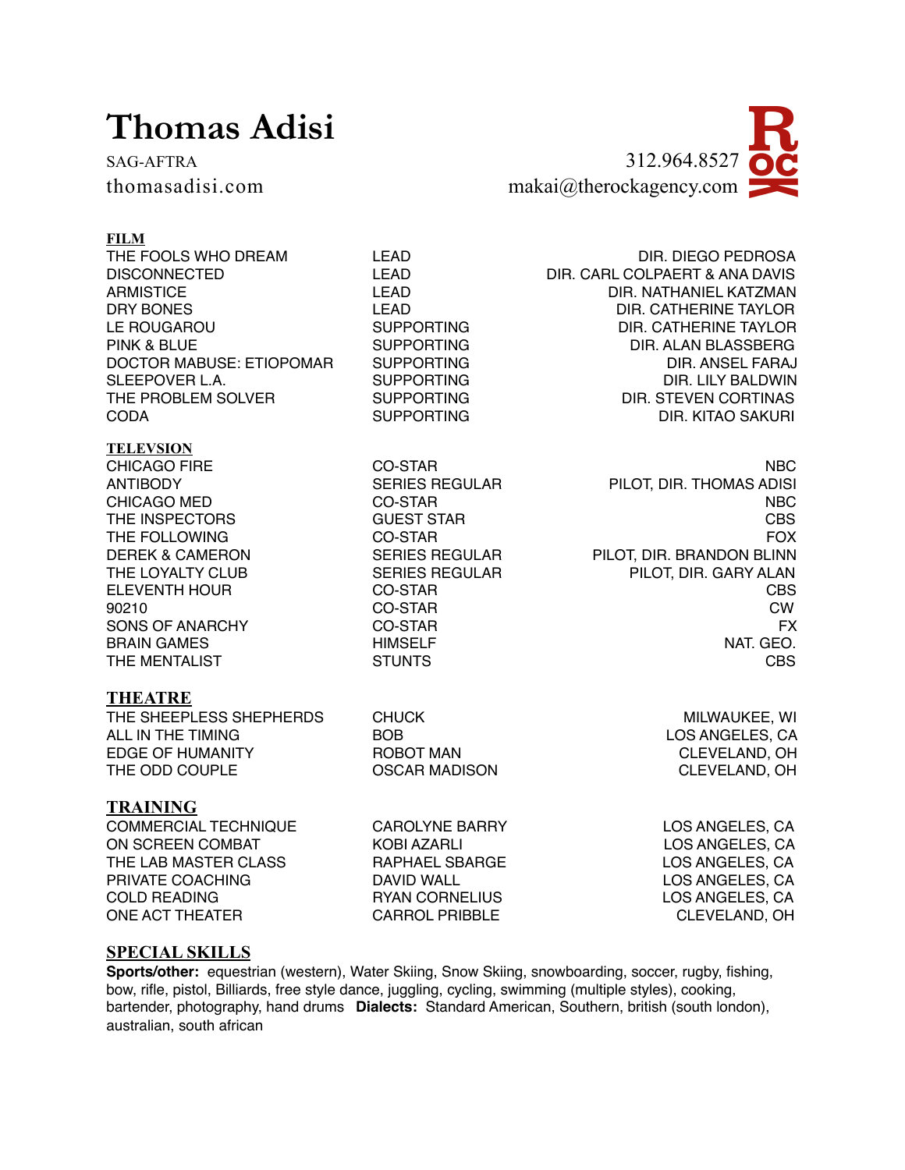# **Thomas Adisi**



### **FILM**

THE FOOLS WHO DREAM LEAD LEAD DIR. DIEGO PEDROSA DISCONNECTED LEAD DIR. CARL COLPAERT & ANA DAVIS ARMISTICE LEAD LEAD DIR. NATHANIEL KATZMAN DRY BONES LEAD DIR. CATHERINE TAYLOR LE ROUGAROU SUPPORTING DIR. CATHERINE TAYLOR PINK & BLUE SUPPORTING DIR. ALAN BLASSBERG DOCTOR MABUSE: ETIOPOMAR SUPPORTING SUPPORTION DIR. ANSEL FARAJ SLEEPOVER L.A. SUPPORTING DIR. LILY BALDWIN THE PROBLEM SOLVER SUPPORTING **DIR. STEVEN CORTINAS** CODA SUPPORTING DIR. KITAO SAKURI

#### **TELEVSION**

# **THEATRE**

THE SHEEPLESS SHEPHERDS CHUCK CHUCK MILWAUKEE, WILWAUKEE, WILWAUKEE, WILMAUKEE, WILMAUKEE, WILMAUKEE, WILMAUKEE, WI ALL IN THE TIMING **BOB LOS ANGELES, CA** EDGE OF HUMANITY ROBOT MAN CLEVELAND, OH THE ODD COUPLE **OSCAR MADISON** CLEVELAND, OH

# **TRAINING**

COMMERCIAL TECHNIQUE CAROLYNE BARRY LOS ANGELES, CA ON SCREEN COMBAT KOBI AZARLI THE LAB MASTER CLASS THE RAPHAEL SBARGE THE LOS ANGELES, CA PRIVATE COACHING DAVID WALL LOS ANGELES, CA COLD READING RYAN CORNELIUS LOS ANGELES, CA ONE ACT THEATER CARROL PRIBBLE CLEVELAND, OH

CHICAGO FIRE **CO-STAR** CO-STAR NBC ANTIBODY SERIES REGULAR PILOT, DIR. THOMAS ADISI CHICAGO MED CO-STAR NBC THE INSPECTORS GUEST STAR GUEST STAR CBS THE FOLLOWING **CO-STAR CO-STAR FOX** DEREK & CAMERON SERIES REGULAR PILOT, DIR. BRANDON BLINN THE LOYALTY CLUB SERIES REGULAR PILOT, DIR. GARY ALAN ELEVENTH HOUR CO-STAR CO-STAR CHARGE COSTAR CBS 90210 CO-STAR CW SONS OF ANARCHY CO-STAR FX BRAIN GAMES **HIMSELF HIMSELF NAT. GEO.** THE MENTALIST CRITICAL STUNTS CONSTRUCTION CONSTRUCT CONSTRUCT CONSTRUCT CONSTRUCT CONSTRUCT CONSTRUCT CONSTRUCT CONSTRUCT CONSTRUCT CONSTRUCT CONSTRUCT CONSTRUCT CONSTRUCT CONSTRUCT CONSTRUCT CONSTRUCT CONSTRUCT CONSTRUCT

### **SPECIAL SKILLS**

**Sports/other:** equestrian (western), Water Skiing, Snow Skiing, snowboarding, soccer, rugby, fishing, bow, rifle, pistol, Billiards, free style dance, juggling, cycling, swimming (multiple styles), cooking, bartender, photography, hand drums **Dialects:** Standard American, Southern, british (south london), australian, south african